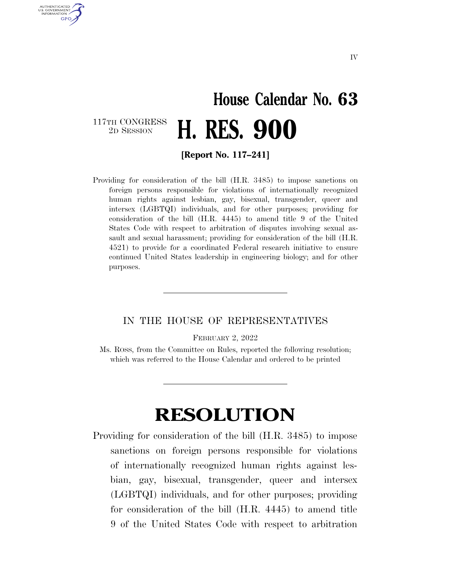## **House Calendar No. 63**  2D SESSION **H. RES. 900**

117TH CONGRESS<br>2D SESSION

AUTHENTICATED U.S. GOVERNMENT **GPO** 

**[Report No. 117–241]** 

Providing for consideration of the bill (H.R. 3485) to impose sanctions on foreign persons responsible for violations of internationally recognized human rights against lesbian, gay, bisexual, transgender, queer and intersex (LGBTQI) individuals, and for other purposes; providing for consideration of the bill (H.R. 4445) to amend title 9 of the United States Code with respect to arbitration of disputes involving sexual assault and sexual harassment; providing for consideration of the bill (H.R. 4521) to provide for a coordinated Federal research initiative to ensure continued United States leadership in engineering biology; and for other purposes.

## IN THE HOUSE OF REPRESENTATIVES

FEBRUARY 2, 2022

Ms. ROSS, from the Committee on Rules, reported the following resolution; which was referred to the House Calendar and ordered to be printed

## **RESOLUTION**

Providing for consideration of the bill (H.R. 3485) to impose sanctions on foreign persons responsible for violations of internationally recognized human rights against lesbian, gay, bisexual, transgender, queer and intersex (LGBTQI) individuals, and for other purposes; providing for consideration of the bill (H.R. 4445) to amend title 9 of the United States Code with respect to arbitration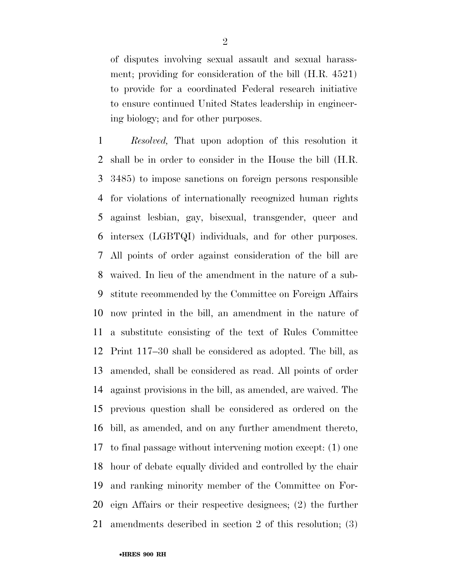of disputes involving sexual assault and sexual harassment; providing for consideration of the bill (H.R. 4521) to provide for a coordinated Federal research initiative to ensure continued United States leadership in engineering biology; and for other purposes.

 *Resolved,* That upon adoption of this resolution it shall be in order to consider in the House the bill (H.R. 3485) to impose sanctions on foreign persons responsible for violations of internationally recognized human rights against lesbian, gay, bisexual, transgender, queer and intersex (LGBTQI) individuals, and for other purposes. All points of order against consideration of the bill are waived. In lieu of the amendment in the nature of a sub- stitute recommended by the Committee on Foreign Affairs now printed in the bill, an amendment in the nature of a substitute consisting of the text of Rules Committee Print 117–30 shall be considered as adopted. The bill, as amended, shall be considered as read. All points of order against provisions in the bill, as amended, are waived. The previous question shall be considered as ordered on the bill, as amended, and on any further amendment thereto, to final passage without intervening motion except: (1) one hour of debate equally divided and controlled by the chair and ranking minority member of the Committee on For- eign Affairs or their respective designees; (2) the further amendments described in section 2 of this resolution; (3)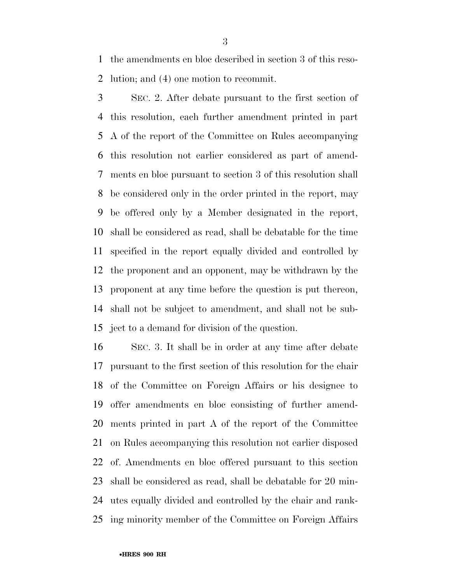the amendments en bloc described in section 3 of this reso-lution; and (4) one motion to recommit.

 SEC. 2. After debate pursuant to the first section of this resolution, each further amendment printed in part A of the report of the Committee on Rules accompanying this resolution not earlier considered as part of amend- ments en bloc pursuant to section 3 of this resolution shall be considered only in the order printed in the report, may be offered only by a Member designated in the report, shall be considered as read, shall be debatable for the time specified in the report equally divided and controlled by the proponent and an opponent, may be withdrawn by the proponent at any time before the question is put thereon, shall not be subject to amendment, and shall not be sub-ject to a demand for division of the question.

 SEC. 3. It shall be in order at any time after debate pursuant to the first section of this resolution for the chair of the Committee on Foreign Affairs or his designee to offer amendments en bloc consisting of further amend- ments printed in part A of the report of the Committee on Rules accompanying this resolution not earlier disposed of. Amendments en bloc offered pursuant to this section shall be considered as read, shall be debatable for 20 min- utes equally divided and controlled by the chair and rank-ing minority member of the Committee on Foreign Affairs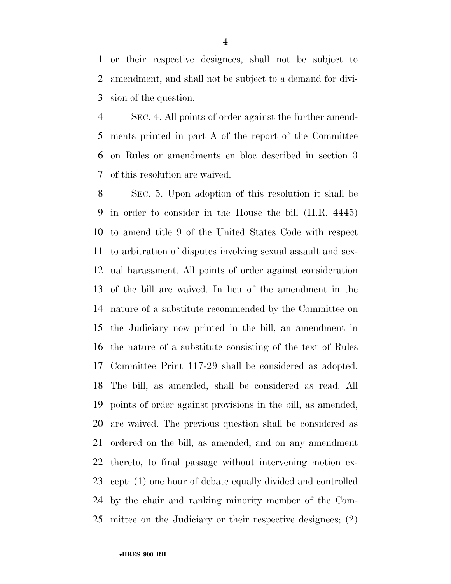or their respective designees, shall not be subject to amendment, and shall not be subject to a demand for divi-sion of the question.

 SEC. 4. All points of order against the further amend- ments printed in part A of the report of the Committee on Rules or amendments en bloc described in section 3 of this resolution are waived.

 SEC. 5. Upon adoption of this resolution it shall be in order to consider in the House the bill (H.R. 4445) to amend title 9 of the United States Code with respect to arbitration of disputes involving sexual assault and sex- ual harassment. All points of order against consideration of the bill are waived. In lieu of the amendment in the nature of a substitute recommended by the Committee on the Judiciary now printed in the bill, an amendment in the nature of a substitute consisting of the text of Rules Committee Print 117-29 shall be considered as adopted. The bill, as amended, shall be considered as read. All points of order against provisions in the bill, as amended, are waived. The previous question shall be considered as ordered on the bill, as amended, and on any amendment thereto, to final passage without intervening motion ex- cept: (1) one hour of debate equally divided and controlled by the chair and ranking minority member of the Com-mittee on the Judiciary or their respective designees; (2)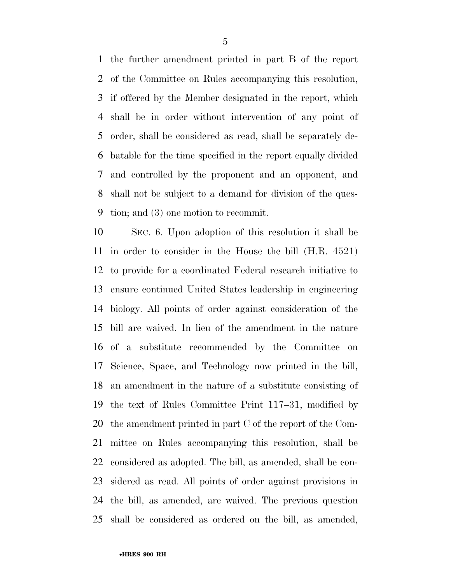the further amendment printed in part B of the report of the Committee on Rules accompanying this resolution, if offered by the Member designated in the report, which shall be in order without intervention of any point of order, shall be considered as read, shall be separately de- batable for the time specified in the report equally divided and controlled by the proponent and an opponent, and shall not be subject to a demand for division of the ques-tion; and (3) one motion to recommit.

 SEC. 6. Upon adoption of this resolution it shall be in order to consider in the House the bill (H.R. 4521) to provide for a coordinated Federal research initiative to ensure continued United States leadership in engineering biology. All points of order against consideration of the bill are waived. In lieu of the amendment in the nature of a substitute recommended by the Committee on Science, Space, and Technology now printed in the bill, an amendment in the nature of a substitute consisting of the text of Rules Committee Print 117–31, modified by the amendment printed in part C of the report of the Com- mittee on Rules accompanying this resolution, shall be considered as adopted. The bill, as amended, shall be con- sidered as read. All points of order against provisions in the bill, as amended, are waived. The previous question shall be considered as ordered on the bill, as amended,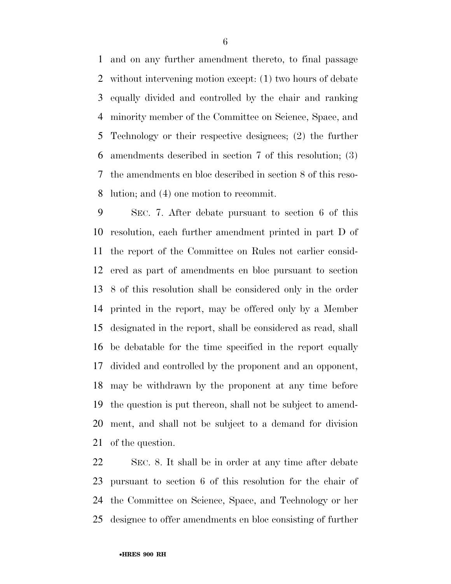and on any further amendment thereto, to final passage without intervening motion except: (1) two hours of debate equally divided and controlled by the chair and ranking minority member of the Committee on Science, Space, and Technology or their respective designees; (2) the further amendments described in section 7 of this resolution; (3) the amendments en bloc described in section 8 of this reso-lution; and (4) one motion to recommit.

 SEC. 7. After debate pursuant to section 6 of this resolution, each further amendment printed in part D of the report of the Committee on Rules not earlier consid- ered as part of amendments en bloc pursuant to section 8 of this resolution shall be considered only in the order printed in the report, may be offered only by a Member designated in the report, shall be considered as read, shall be debatable for the time specified in the report equally divided and controlled by the proponent and an opponent, may be withdrawn by the proponent at any time before the question is put thereon, shall not be subject to amend- ment, and shall not be subject to a demand for division of the question.

 SEC. 8. It shall be in order at any time after debate pursuant to section 6 of this resolution for the chair of the Committee on Science, Space, and Technology or her designee to offer amendments en bloc consisting of further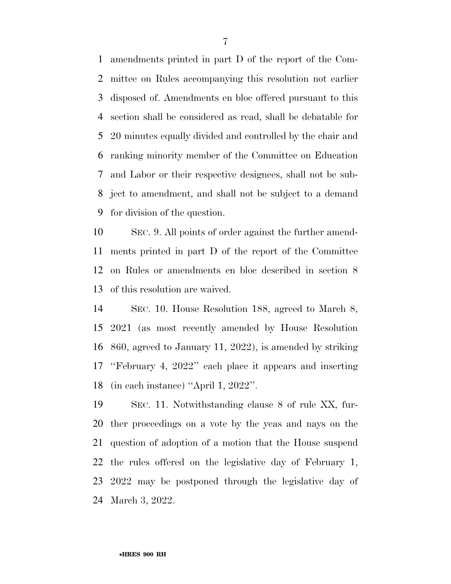amendments printed in part D of the report of the Com- mittee on Rules accompanying this resolution not earlier disposed of. Amendments en bloc offered pursuant to this section shall be considered as read, shall be debatable for 20 minutes equally divided and controlled by the chair and ranking minority member of the Committee on Education and Labor or their respective designees, shall not be sub- ject to amendment, and shall not be subject to a demand for division of the question.

 SEC. 9. All points of order against the further amend- ments printed in part D of the report of the Committee on Rules or amendments en bloc described in section 8 of this resolution are waived.

 SEC. 10. House Resolution 188, agreed to March 8, 2021 (as most recently amended by House Resolution 860, agreed to January 11, 2022), is amended by striking ''February 4, 2022'' each place it appears and inserting (in each instance) ''April 1, 2022''.

 SEC. 11. Notwithstanding clause 8 of rule XX, fur- ther proceedings on a vote by the yeas and nays on the question of adoption of a motion that the House suspend the rules offered on the legislative day of February 1, 2022 may be postponed through the legislative day of March 3, 2022.